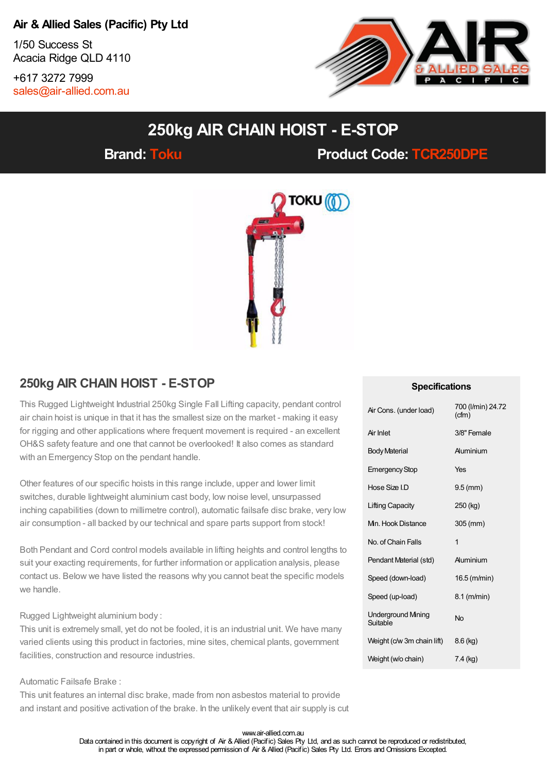### **Air & Allied Sales (Pacific) Pty Ltd**

1/50 Success St Acacia Ridge QLD 4110

+617 3272 7999 [sales@air-allied.com.au](mailto:sales@air-allied.com.au)



# **250kg AIR CHAIN HOIST - E-STOP**

**Brand: [Toku](https://store.air-allied.com.au/toku) Product Code: [TCR250DPE](https://store.air-allied.com.au/toku-tcr250dpe-250kg-air-chain-hoist-e-stop)**



## **250kg AIR CHAIN HOIST - E-STOP**

This Rugged Lightweight Industrial 250kg Single Fall Lifting capacity, pendant control air chain hoist is unique in that it has the smallest size on the market - making it easy for rigging and other applications where frequent movement is required - an excellent OH&S safety feature and one that cannot be overlooked! It also comes as standard with an Emergency Stop on the pendant handle.

Other features of our specific hoists in this range include, upper and lower limit switches, durable lightweight aluminium cast body, low noise level, unsurpassed inching capabilities (down to millimetre control), automatic failsafe disc brake, very low air consumption - all backed by our technical and spare parts support from stock!

Both Pendant and Cord control models available in lifting heights and control lengths to suit your exacting requirements, for further information or application analysis, please contact us. Below we have listed the reasons why you cannot beat the specific models we handle.

#### Rugged Lightweight aluminium body :

This unit is extremely small, yet do not be fooled, it is an industrial unit. We have many varied clients using this product in factories, mine sites, chemical plants, government facilities, construction and resource industries.

#### Automatic Failsafe Brake :

This unit features an internal disc brake, made from non asbestos material to provide and instant and positive activation of the brake. In the unlikely event that air supply is cut

#### **Specifications**

| Air Cons. (under load)               | 700 (I/min) 24.72<br>(cfm) |
|--------------------------------------|----------------------------|
| Air Inlet                            | 3/8" Female                |
| <b>Body Material</b>                 | Auminium                   |
| <b>Emergency Stop</b>                | Yes                        |
| Hose Size I.D                        | $9.5$ (mm)                 |
| <b>Lifting Capacity</b>              | $250$ (kg)                 |
| Mn. Hook Distance                    | 305 (mm)                   |
| No. of Chain Falls                   | 1                          |
| Pendant Material (std)               | Auminium                   |
| Speed (down-load)                    | 16.5 (m/min)               |
| Speed (up-load)                      | 8.1 (m/min)                |
| <b>Underground Mning</b><br>Suitable | Nο                         |
| Weight (c/w 3m chain lift)           | $8.6$ (kg)                 |
| Weight (w/o chain)                   | 7.4 (kg)                   |

www.air-allied.com.au Data contained in this document is copyright of Air & Allied (Pacific) Sales Pty Ltd, and as such cannot be reproduced or redistributed, in part or whole, without the expressed permission of Air & Allied (Pacific) Sales Pty Ltd. Errors and Omissions Excepted.